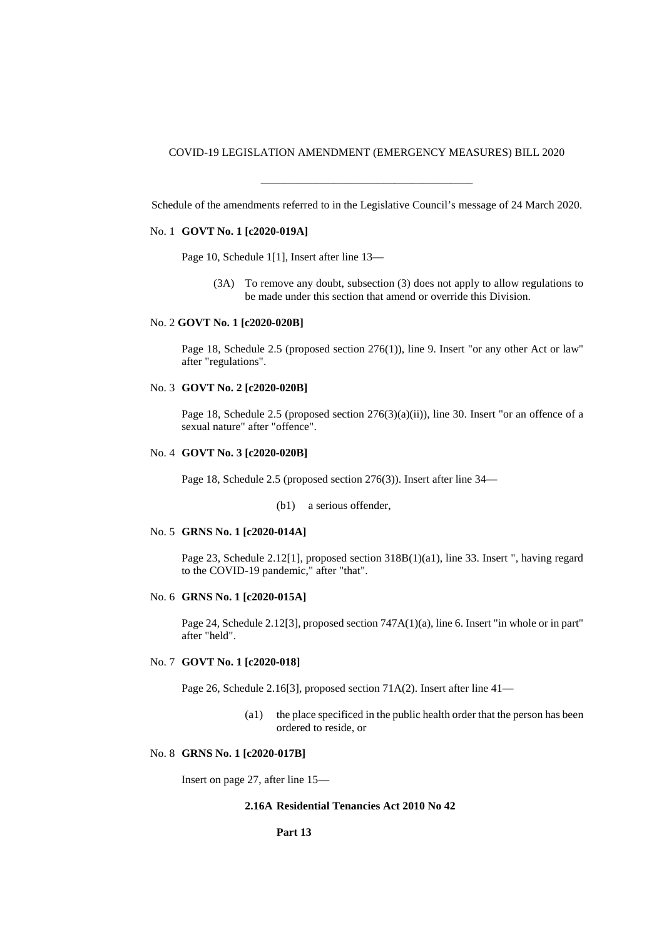COVID-19 LEGISLATION AMENDMENT (EMERGENCY MEASURES) BILL 2020

\_\_\_\_\_\_\_\_\_\_\_\_\_\_\_\_\_\_\_\_\_\_\_\_\_\_\_\_\_\_\_\_\_\_\_\_\_\_ Schedule of the amendments referred to in the Legislative Council's message of 24 March 2020.

# No. 1 **GOVT No. 1 [c2020-019A]**

Page 10, Schedule 1[1], Insert after line 13—

(3A) To remove any doubt, subsection (3) does not apply to allow regulations to be made under this section that amend or override this Division.

#### No. 2 **GOVT No. 1 [c2020-020B]**

Page 18, Schedule 2.5 (proposed section 276(1)), line 9. Insert "or any other Act or law" after "regulations".

# No. 3 **GOVT No. 2 [c2020-020B]**

Page 18, Schedule 2.5 (proposed section 276(3)(a)(ii)), line 30. Insert "or an offence of a sexual nature" after "offence".

#### No. 4 **GOVT No. 3 [c2020-020B]**

Page 18, Schedule 2.5 (proposed section 276(3)). Insert after line 34—

(b1) a serious offender,

# No. 5 **GRNS No. 1 [c2020-014A]**

Page 23, Schedule 2.12[1], proposed section 318B(1)(a1), line 33. Insert ", having regard to the COVID-19 pandemic," after "that".

#### No. 6 **GRNS No. 1 [c2020-015A]**

Page 24, Schedule 2.12[3], proposed section 747A(1)(a), line 6. Insert "in whole or in part" after "held".

# No. 7 **GOVT No. 1 [c2020-018]**

Page 26, Schedule 2.16[3], proposed section 71A(2). Insert after line 41—

(a1) the place specificed in the public health order that the person has been ordered to reside, or

### No. 8 **GRNS No. 1 [c2020-017B]**

Insert on page 27, after line 15—

# **2.16A Residential Tenancies Act 2010 No 42**

#### **Part 13**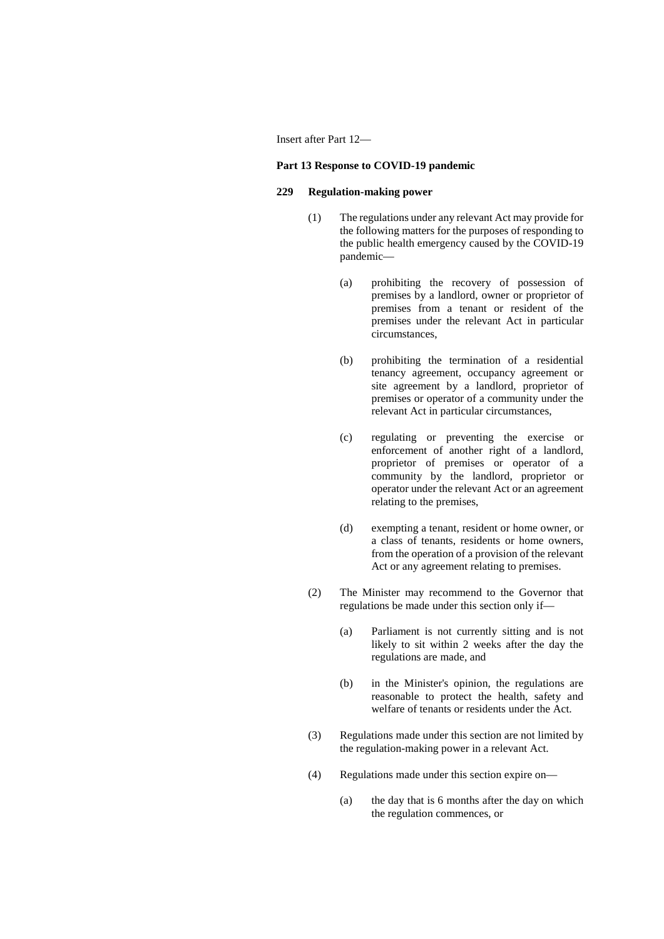### Insert after Part 12—

## **Part 13 Response to COVID-19 pandemic**

# **229 Regulation-making power**

- (1) The regulations under any relevant Act may provide for the following matters for the purposes of responding to the public health emergency caused by the COVID-19 pandemic—
	- (a) prohibiting the recovery of possession of premises by a landlord, owner or proprietor of premises from a tenant or resident of the premises under the relevant Act in particular circumstances,
	- (b) prohibiting the termination of a residential tenancy agreement, occupancy agreement or site agreement by a landlord, proprietor of premises or operator of a community under the relevant Act in particular circumstances,
	- (c) regulating or preventing the exercise or enforcement of another right of a landlord, proprietor of premises or operator of a community by the landlord, proprietor or operator under the relevant Act or an agreement relating to the premises,
	- (d) exempting a tenant, resident or home owner, or a class of tenants, residents or home owners, from the operation of a provision of the relevant Act or any agreement relating to premises.
- (2) The Minister may recommend to the Governor that regulations be made under this section only if—
	- (a) Parliament is not currently sitting and is not likely to sit within 2 weeks after the day the regulations are made, and
	- (b) in the Minister's opinion, the regulations are reasonable to protect the health, safety and welfare of tenants or residents under the Act.
- (3) Regulations made under this section are not limited by the regulation-making power in a relevant Act.
- (4) Regulations made under this section expire on—
	- (a) the day that is 6 months after the day on which the regulation commences, or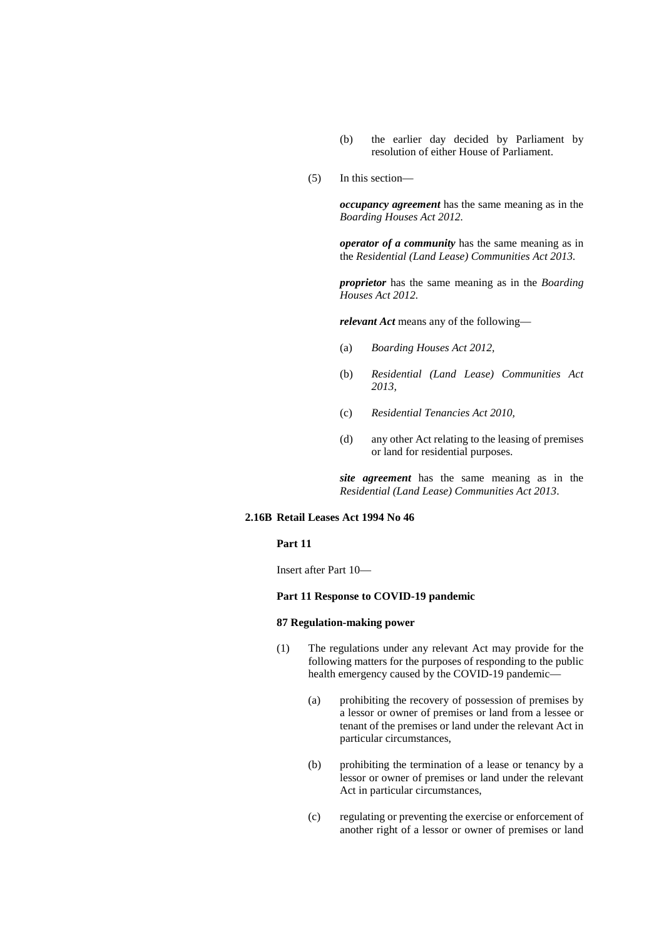- (b) the earlier day decided by Parliament by resolution of either House of Parliament.
- (5) In this section—

*occupancy agreement* has the same meaning as in the *Boarding Houses Act 2012.*

*operator of a community* has the same meaning as in the *Residential (Land Lease) Communities Act 2013.*

*proprietor* has the same meaning as in the *Boarding Houses Act 2012.*

*relevant Act* means any of the following—

- (a) *Boarding Houses Act 2012,*
- (b) *Residential (Land Lease) Communities Act 2013,*
- (c) *Residential Tenancies Act 2010,*
- (d) any other Act relating to the leasing of premises or land for residential purposes.

*site agreement* has the same meaning as in the *Residential (Land Lease) Communities Act 2013*.

#### **2.16B Retail Leases Act 1994 No 46**

#### **Part 11**

Insert after Part 10—

### **Part 11 Response to COVID-19 pandemic**

#### **87 Regulation-making power**

- (1) The regulations under any relevant Act may provide for the following matters for the purposes of responding to the public health emergency caused by the COVID-19 pandemic—
	- (a) prohibiting the recovery of possession of premises by a lessor or owner of premises or land from a lessee or tenant of the premises or land under the relevant Act in particular circumstances,
	- (b) prohibiting the termination of a lease or tenancy by a lessor or owner of premises or land under the relevant Act in particular circumstances,
	- (c) regulating or preventing the exercise or enforcement of another right of a lessor or owner of premises or land